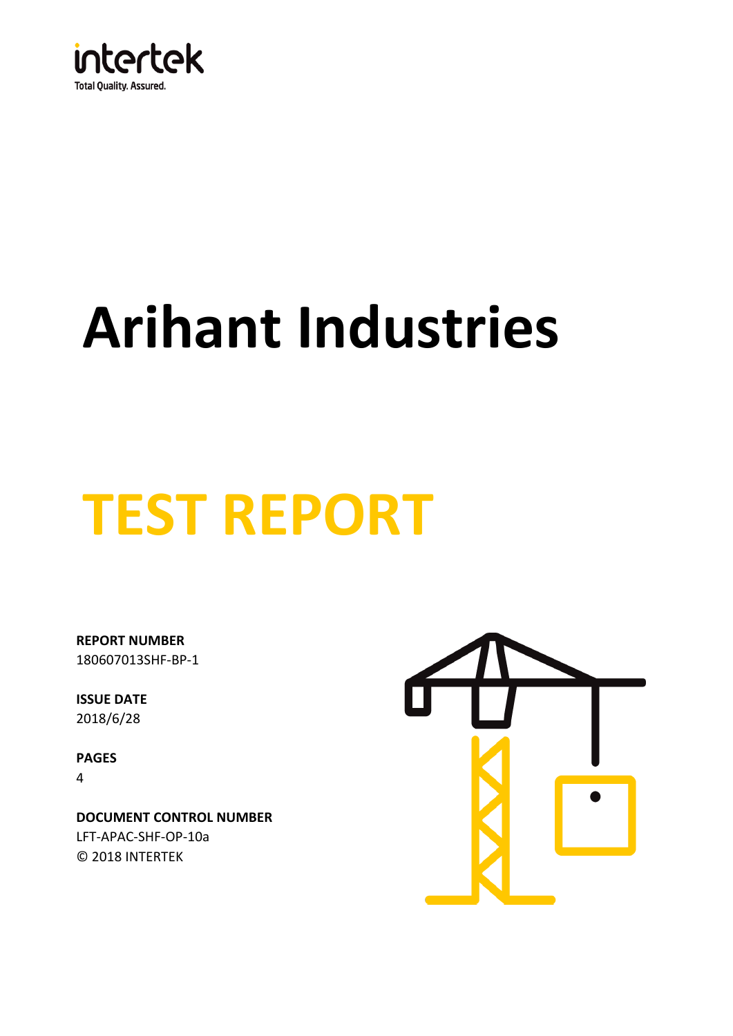

# **Arihant Industries**

# **TEST REPORT**

180607013SHF-BP-1 **REPORT NUMBER**

**ISSUE DATE** 2018/6/28

**PAGES** 4

© 2018 INTERTEK **DOCUMENT CONTROL NUMBER** LFT-APAC-SHF-OP-10a

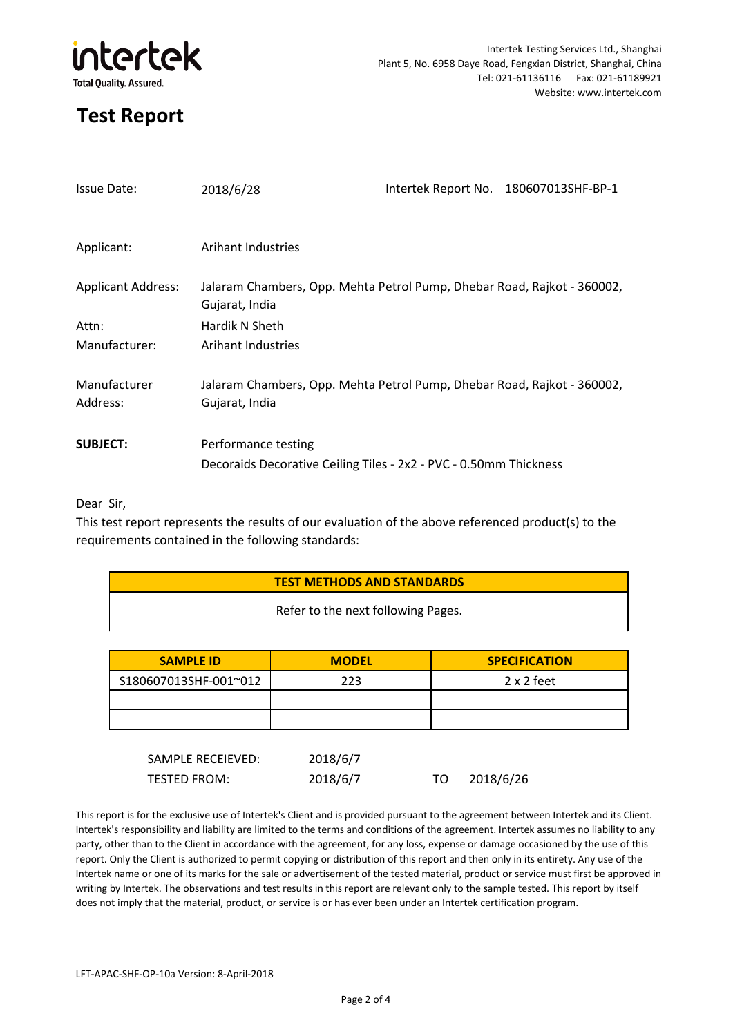

# **Test Report**

| <b>Issue Date:</b>        | 2018/6/28                                                                                 | Intertek Report No. 180607013SHF-BP-1 |
|---------------------------|-------------------------------------------------------------------------------------------|---------------------------------------|
|                           |                                                                                           |                                       |
| Applicant:                | Arihant Industries                                                                        |                                       |
| <b>Applicant Address:</b> | Jalaram Chambers, Opp. Mehta Petrol Pump, Dhebar Road, Rajkot - 360002,<br>Gujarat, India |                                       |
| Attn:                     | Hardik N Sheth                                                                            |                                       |
| Manufacturer:             | Arihant Industries                                                                        |                                       |
| Manufacturer<br>Address:  | Jalaram Chambers, Opp. Mehta Petrol Pump, Dhebar Road, Rajkot - 360002,<br>Gujarat, India |                                       |
| <b>SUBJECT:</b>           | Performance testing<br>Decoraids Decorative Ceiling Tiles - 2x2 - PVC - 0.50mm Thickness  |                                       |

### Dear Sir,

This test report represents the results of our evaluation of the above referenced product(s) to the requirements contained in the following standards:

| <b>TEST METHODS AND STANDARDS</b> |  |
|-----------------------------------|--|
|-----------------------------------|--|

Refer to the next following Pages.

| <b>SAMPLE ID</b>      | <b>MODEL</b> | <b>SPECIFICATION</b> |
|-----------------------|--------------|----------------------|
| S180607013SHF-001~012 | 223          | $2 \times 2$ feet    |
|                       |              |                      |
|                       |              |                      |

| SAMPLE RECEIEVED: | 2018/6/7 |           |
|-------------------|----------|-----------|
| TESTED FROM:      | 2018/6/7 | 2018/6/26 |

This report is for the exclusive use of Intertek's Client and is provided pursuant to the agreement between Intertek and its Client. Intertek's responsibility and liability are limited to the terms and conditions of the agreement. Intertek assumes no liability to any party, other than to the Client in accordance with the agreement, for any loss, expense or damage occasioned by the use of this report. Only the Client is authorized to permit copying or distribution of this report and then only in its entirety. Any use of the Intertek name or one of its marks for the sale or advertisement of the tested material, product or service must first be approved in writing by Intertek. The observations and test results in this report are relevant only to the sample tested. This report by itself does not imply that the material, product, or service is or has ever been under an Intertek certification program.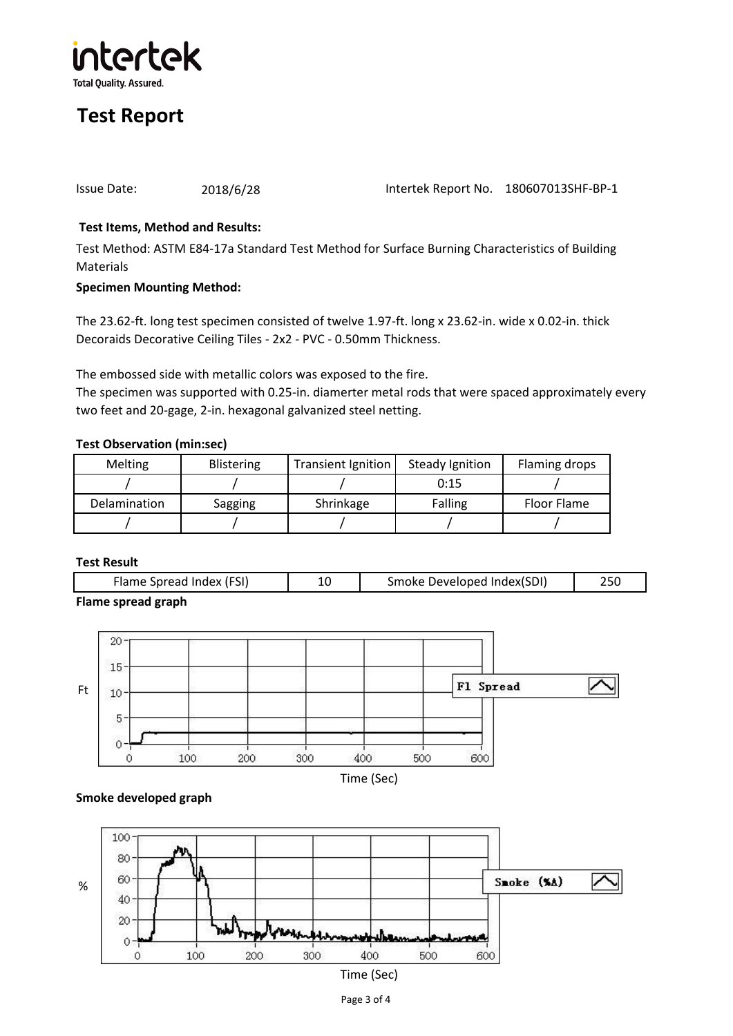

# **Test Report**

Issue Date: 2018/6/28 Intertek Report No. 180607013SHF-BP-1

## **Test Items, Method and Results:**

Test Method: ASTM E84-17a Standard Test Method for Surface Burning Characteristics of Building Materials

### **Specimen Mounting Method:**

The 23.62-ft. long test specimen consisted of twelve 1.97-ft. long x 23.62-in. wide x 0.02-in. thick Decoraids Decorative Ceiling Tiles - 2x2 - PVC - 0.50mm Thickness.

The embossed side with metallic colors was exposed to the fire.

The specimen was supported with 0.25-in. diamerter metal rods that were spaced approximately every two feet and 20-gage, 2-in. hexagonal galvanized steel netting.

## **Test Observation (min:sec)**

| <b>Melting</b>      | <b>Blistering</b> | <b>Transient Ignition</b> | Steady Ignition | Flaming drops |
|---------------------|-------------------|---------------------------|-----------------|---------------|
|                     |                   |                           | 0:15            |               |
| <b>Delamination</b> | Sagging           | Shrinkage                 | Falling         | Floor Flame   |
|                     |                   |                           |                 |               |

### **Test Result**

| Flames superal spank     |                            |  |
|--------------------------|----------------------------|--|
| Flame Spread Index (FSI) | Smoke Developed Index(SDI) |  |

**Flame spread graph**